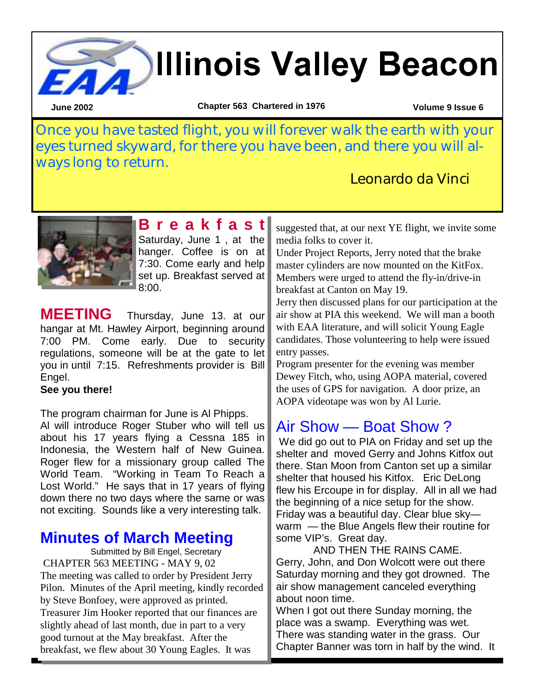# **Millinois Valley Beacon**

**June 2002 Volume 9 Issue 6 Chapter 563 Chartered in 1976** 

Once you have tasted flight, you will forever walk the earth with your eyes turned skyward, for there you have been, and there you will always long to return.

Leonardo da Vinci



**B r e a k f a s t**  Saturday, June 1, at the hanger. Coffee is on at 7:30. Come early and help set up. Breakfast served at 8:00.

**MEETING** Thursday, June 13. at our hangar at Mt. Hawley Airport, beginning around 7:00 PM. Come early. Due to security regulations, someone will be at the gate to let you in until 7:15. Refreshments provider is Bill Engel.

#### **See you there!**

The program chairman for June is Al Phipps.

Al will introduce Roger Stuber who will tell us about his 17 years flying a Cessna 185 in Indonesia, the Western half of New Guinea. Roger flew for a missionary group called The World Team. "Working in Team To Reach a Lost World." He says that in 17 years of flying down there no two days where the same or was not exciting. Sounds like a very interesting talk.

### **Minutes of March Meeting**

 Submitted by Bill Engel, Secretary CHAPTER 563 MEETING - MAY 9, 02 The meeting was called to order by President Jerry Pilon. Minutes of the April meeting, kindly recorded by Steve Bonfoey, were approved as printed. Treasurer Jim Hooker reported that our finances are slightly ahead of last month, due in part to a very good turnout at the May breakfast. After the breakfast, we flew about 30 Young Eagles. It was

suggested that, at our next YE flight, we invite some media folks to cover it.

Under Project Reports, Jerry noted that the brake master cylinders are now mounted on the KitFox. Members were urged to attend the fly-in/drive-in breakfast at Canton on May 19.

Jerry then discussed plans for our participation at the air show at PIA this weekend. We will man a booth with EAA literature, and will solicit Young Eagle candidates. Those volunteering to help were issued entry passes.

Program presenter for the evening was member Dewey Fitch, who, using AOPA material, covered the uses of GPS for navigation. A door prize, an AOPA videotape was won by Al Lurie.

### Air Show — Boat Show ?

 We did go out to PIA on Friday and set up the shelter and moved Gerry and Johns Kitfox out there. Stan Moon from Canton set up a similar shelter that housed his Kitfox. Eric DeLong flew his Ercoupe in for display. All in all we had the beginning of a nice setup for the show. Friday was a beautiful day. Clear blue sky warm — the Blue Angels flew their routine for some VIP's. Great day.

AND THEN THE RAINS CAME. Gerry, John, and Don Wolcott were out there Saturday morning and they got drowned. The air show management canceled everything about noon time.

When I got out there Sunday morning, the place was a swamp. Everything was wet. There was standing water in the grass. Our Chapter Banner was torn in half by the wind. It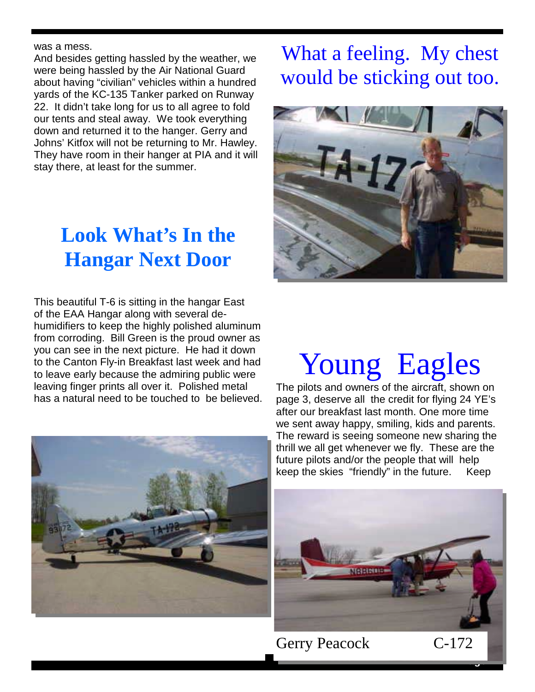#### was a mess.

And besides getting hassled by the weather, we were being hassled by the Air National Guard about having "civilian" vehicles within a hundred yards of the KC-135 Tanker parked on Runway 22. It didn't take long for us to all agree to fold our tents and steal away. We took everything down and returned it to the hanger. Gerry and Johns' Kitfox will not be returning to Mr. Hawley. They have room in their hanger at PIA and it will stay there, at least for the summer.

### **Look What's In the Hangar Next Door**

This beautiful T-6 is sitting in the hangar East of the EAA Hangar along with several dehumidifiers to keep the highly polished aluminum from corroding. Bill Green is the proud owner as you can see in the next picture. He had it down to the Canton Fly-in Breakfast last week and had to leave early because the admiring public were leaving finger prints all over it. Polished metal has a natural need to be touched to be believed.



### What a feeling. My chest would be sticking out too.



## Young Eagles

The pilots and owners of the aircraft, shown on page 3, deserve all the credit for flying 24 YE's after our breakfast last month. One more time we sent away happy, smiling, kids and parents. The reward is seeing someone new sharing the thrill we all get whenever we fly. These are the future pilots and/or the people that will help keep the skies "friendly" in the future. Keep



Gerry Peacock C-172

**Page 2**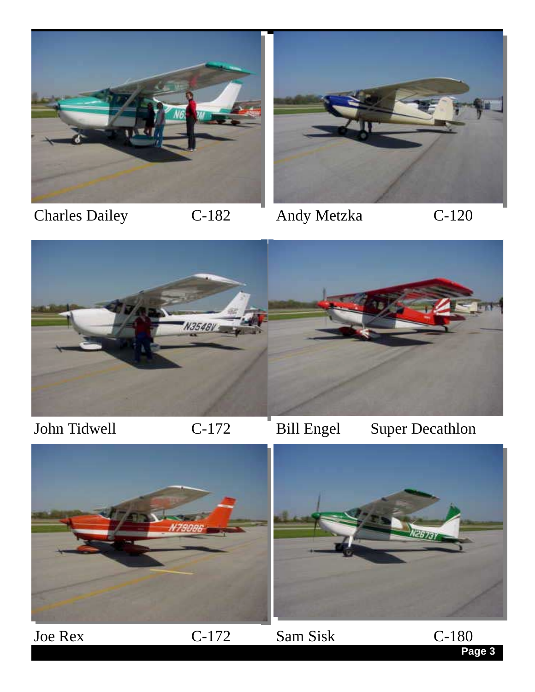

Charles Dailey C-182 Andy Metzka C-120



**Page 3** 



John Tidwell C-172 Bill Engel Super Decathlon

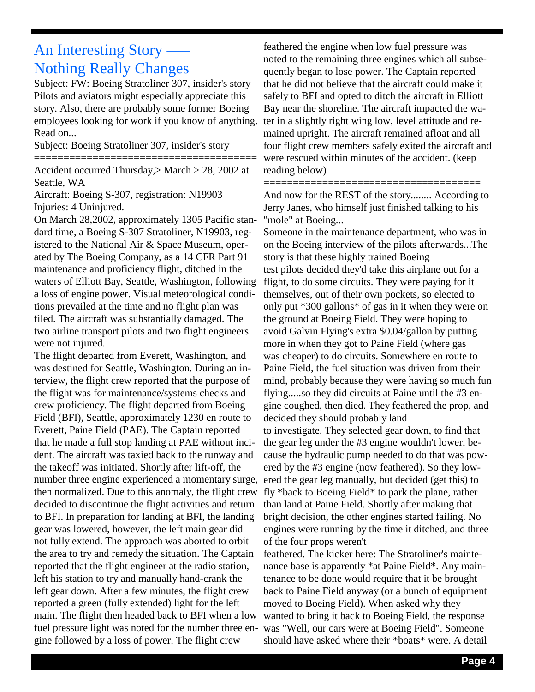### An Interesting Story —– Nothing Really Changes

Subject: FW: Boeing Stratoliner 307, insider's story Pilots and aviators might especially appreciate this story. Also, there are probably some former Boeing employees looking for work if you know of anything. Read on...

Subject: Boeing Stratoliner 307, insider's story

======================================

Accident occurred Thursday,> March > 28, 2002 at Seattle, WA

Aircraft: Boeing S-307, registration: N19903 Injuries: 4 Uninjured.

On March 28,2002, approximately 1305 Pacific standard time, a Boeing S-307 Stratoliner, N19903, registered to the National Air & Space Museum, operated by The Boeing Company, as a 14 CFR Part 91 maintenance and proficiency flight, ditched in the waters of Elliott Bay, Seattle, Washington, following a loss of engine power. Visual meteorological conditions prevailed at the time and no flight plan was filed. The aircraft was substantially damaged. The two airline transport pilots and two flight engineers were not injured.

The flight departed from Everett, Washington, and was destined for Seattle, Washington. During an interview, the flight crew reported that the purpose of the flight was for maintenance/systems checks and crew proficiency. The flight departed from Boeing Field (BFI), Seattle, approximately 1230 en route to Everett, Paine Field (PAE). The Captain reported that he made a full stop landing at PAE without incident. The aircraft was taxied back to the runway and the takeoff was initiated. Shortly after lift-off, the number three engine experienced a momentary surge, then normalized. Due to this anomaly, the flight crew decided to discontinue the flight activities and return to BFI. In preparation for landing at BFI, the landing gear was lowered, however, the left main gear did not fully extend. The approach was aborted to orbit the area to try and remedy the situation. The Captain reported that the flight engineer at the radio station, left his station to try and manually hand-crank the left gear down. After a few minutes, the flight crew reported a green (fully extended) light for the left main. The flight then headed back to BFI when a low fuel pressure light was noted for the number three engine followed by a loss of power. The flight crew

feathered the engine when low fuel pressure was noted to the remaining three engines which all subsequently began to lose power. The Captain reported that he did not believe that the aircraft could make it safely to BFI and opted to ditch the aircraft in Elliott Bay near the shoreline. The aircraft impacted the water in a slightly right wing low, level attitude and remained upright. The aircraft remained afloat and all four flight crew members safely exited the aircraft and were rescued within minutes of the accident. (keep reading below)

And now for the REST of the story........ According to Jerry Janes, who himself just finished talking to his "mole" at Boeing...

=====================================

Someone in the maintenance department, who was in on the Boeing interview of the pilots afterwards...The story is that these highly trained Boeing test pilots decided they'd take this airplane out for a flight, to do some circuits. They were paying for it themselves, out of their own pockets, so elected to only put \*300 gallons\* of gas in it when they were on the ground at Boeing Field. They were hoping to avoid Galvin Flying's extra \$0.04/gallon by putting more in when they got to Paine Field (where gas was cheaper) to do circuits. Somewhere en route to Paine Field, the fuel situation was driven from their mind, probably because they were having so much fun flying.....so they did circuits at Paine until the #3 engine coughed, then died. They feathered the prop, and decided they should probably land to investigate. They selected gear down, to find that the gear leg under the #3 engine wouldn't lower, because the hydraulic pump needed to do that was powered by the #3 engine (now feathered). So they lowered the gear leg manually, but decided (get this) to fly \*back to Boeing Field\* to park the plane, rather than land at Paine Field. Shortly after making that bright decision, the other engines started failing. No engines were running by the time it ditched, and three of the four props weren't feathered. The kicker here: The Stratoliner's mainte-

nance base is apparently \*at Paine Field\*. Any maintenance to be done would require that it be brought back to Paine Field anyway (or a bunch of equipment moved to Boeing Field). When asked why they wanted to bring it back to Boeing Field, the response was "Well, our cars were at Boeing Field". Someone should have asked where their \*boats\* were. A detail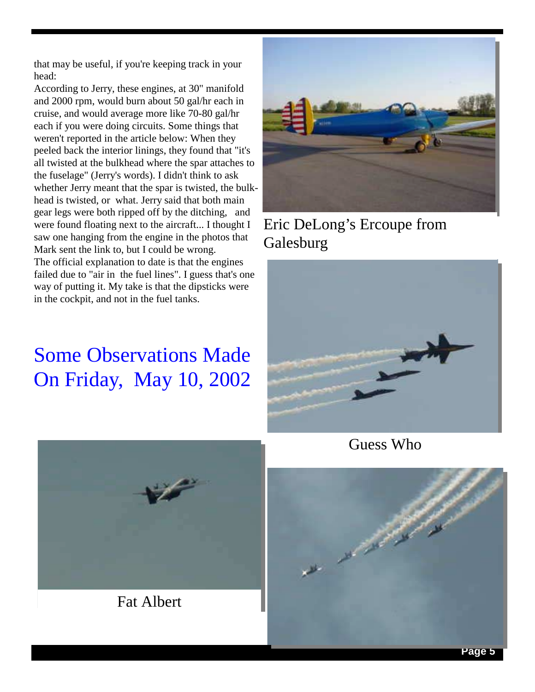that may be useful, if you're keeping track in your head:

According to Jerry, these engines, at 30" manifold and 2000 rpm, would burn about 50 gal/hr each in cruise, and would average more like 70-80 gal/hr each if you were doing circuits. Some things that weren't reported in the article below: When they peeled back the interior linings, they found that "it's all twisted at the bulkhead where the spar attaches to the fuselage" (Jerry's words). I didn't think to ask whether Jerry meant that the spar is twisted, the bulkhead is twisted, or what. Jerry said that both main gear legs were both ripped off by the ditching, and were found floating next to the aircraft... I thought I saw one hanging from the engine in the photos that Mark sent the link to, but I could be wrong. The official explanation to date is that the engines failed due to "air in the fuel lines". I guess that's one way of putting it. My take is that the dipsticks were in the cockpit, and not in the fuel tanks.

### Some Observations Made On Friday, May 10, 2002



Eric DeLong's Ercoupe from **Galesburg** 



Guess Who